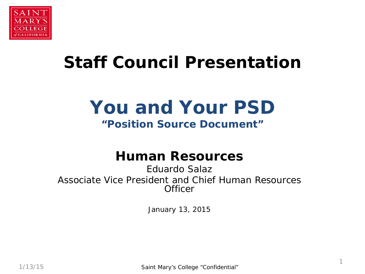

## **Staff Council Presentation**

# **You and Your PSD**

## **"Position Source Document"**

## **Human Resources**

Eduardo Salaz Associate Vice President and Chief Human Resources **Officer** 

January 13, 2015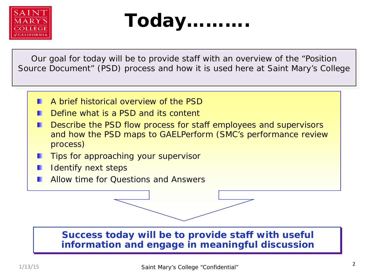



Our goal for today will be to provide staff with an overview of the "Position Source Document" (PSD) process and how it is used here at Saint Mary's College

- A brief historical overview of the PSD
- Define what is a PSD and its content
- Describe the PSD flow process for staff employees and supervisors and how the PSD maps to GAELPerform (SMC's performance review process)
- Tips for approaching your supervisor
- Identify next steps
- Allow time for Questions and Answers

#### **Success today will be to provide staff with useful information and engage in meaningful discussion**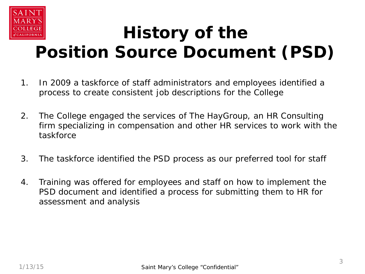

## **History of the Position Source Document (PSD)**

- 1. In 2009 a taskforce of staff administrators and employees identified a process to create consistent job descriptions for the College
- 2. The College engaged the services of The HayGroup, an HR Consulting firm specializing in compensation and other HR services to work with the taskforce
- 3. The taskforce identified the PSD process as our preferred tool for staff
- 4. Training was offered for employees and staff on how to implement the PSD document and identified a process for submitting them to HR for assessment and analysis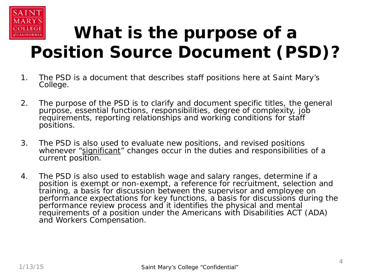

# **What is the purpose of a Position Source Document (PSD)?**

- 1. The PSD is a document that describes staff positions here at Saint Mary's College.
- 2. The purpose of the PSD is to clarify and document specific titles, the general purpose, essential functions, responsibilities, degree of complexity, job requirements, reporting relationships and working conditions for staff positions.
- 3. The PSD is also used to evaluate new positions, and revised positions whenever "significant" changes occur in the duties and responsibilities of a current position.
- 4. The PSD is also used to establish wage and salary ranges, determine if a position is exempt or non-exempt, a reference for recruitment, selection and training, a basis for discussion between the supervisor and employee on performance expectations for key functions, a basis for discussions during the performance review process and it identifies the physical and mental requirements of a position under the Americans with Disabilities ACT (ADA) and Workers Compensation.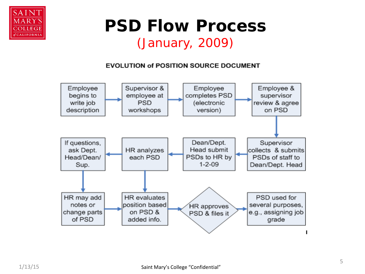

## **PSD Flow Process** (January, 2009)

#### **EVOLUTION of POSITION SOURCE DOCUMENT**

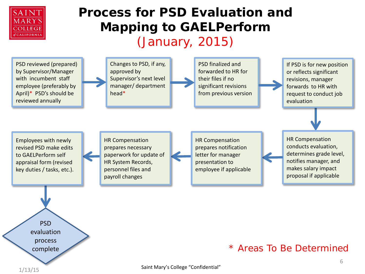

## **Process for PSD Evaluation and Mapping to GAELPerform** (January, 2015)

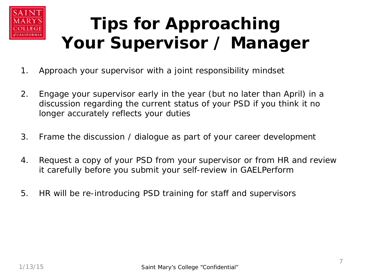

# **Tips for Approaching Your Supervisor / Manager**

- 1. Approach your supervisor with a joint responsibility mindset
- 2. Engage your supervisor early in the year (but no later than April) in a discussion regarding the current status of your PSD if you think it no longer accurately reflects your duties
- 3. Frame the discussion / dialogue as part of your career development
- 4. Request a copy of your PSD from your supervisor or from HR and review it carefully before you submit your self-review in GAELPerform
- 5. HR will be re-introducing PSD training for staff and supervisors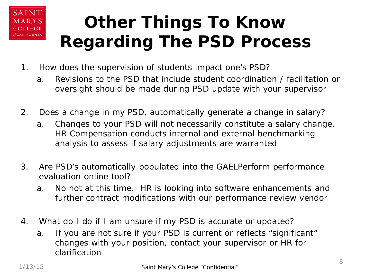

# **Other Things To Know Regarding The PSD Process**

- 1. How does the supervision of students impact one's PSD?
	- a. Revisions to the PSD that include student coordination / facilitation or oversight should be made during PSD update with your supervisor
- 2. Does a change in my PSD, automatically generate a change in salary?
	- a. Changes to your PSD will not necessarily constitute a salary change. HR Compensation conducts internal and external benchmarking analysis to assess if salary adjustments are warranted
- 3. Are PSD's automatically populated into the GAELPerform performance evaluation online tool?
	- a. No not at this time. HR is looking into software enhancements and further contract modifications with our performance review vendor
- 4. What do I do if I am unsure if my PSD is accurate or updated?
	- a. If you are not sure if your PSD is current or reflects "significant" changes with your position, contact your supervisor or HR for clarification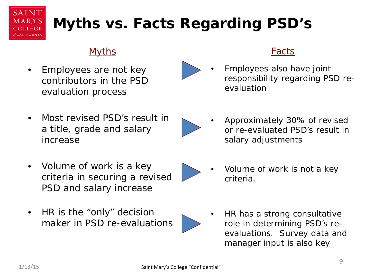

## **Myths vs. Facts Regarding PSD's**

## Myths

• Employees are not key contributors in the PSD evaluation process

## Facts

• Employees also have joint responsibility regarding PSD reevaluation

• Most revised PSD's result in a title, grade and salary increase



• Approximately 30% of revised or re-evaluated PSD's result in salary adjustments

- Volume of work is a key criteria in securing a revised PSD and salary increase
- HR is the "only" decision maker in PSD re-evaluations



- Volume of work is not a key criteria.
- HR has a strong consultative role in determining PSD's reevaluations. Survey data and manager input is also key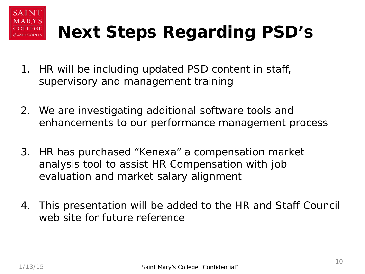

# **Next Steps Regarding PSD's**

- 1. HR will be including updated PSD content in staff, supervisory and management training
- 2. We are investigating additional software tools and enhancements to our performance management process
- 3. HR has purchased "Kenexa" a compensation market analysis tool to assist HR Compensation with job evaluation and market salary alignment
- 4. This presentation will be added to the HR and Staff Council web site for future reference